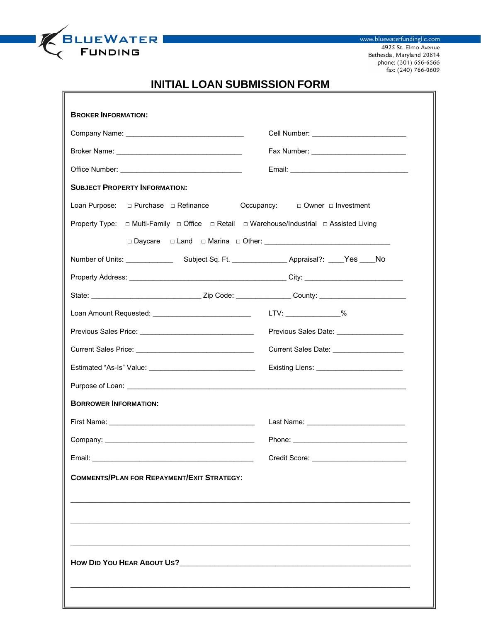

www.bluewaterfundingllc.com 4925 St. Elmo Avenue Bethesda, Maryland 20814 phone: (301) 656-6566<br>fax: (240) 766-0609

## **INITIAL LOAN SUBMISSION FORM**

| <b>BROKER INFORMATION:</b>                                                               |                                           |
|------------------------------------------------------------------------------------------|-------------------------------------------|
|                                                                                          |                                           |
|                                                                                          |                                           |
|                                                                                          |                                           |
| <b>SUBJECT PROPERTY INFORMATION:</b>                                                     |                                           |
| □ Purchase □ Refinance<br>Loan Purpose:                                                  | Occupancy: $\Box$ Owner $\Box$ Investment |
| Property Type: □ Multi-Family □ Office □ Retail □ Warehouse/Industrial □ Assisted Living |                                           |
|                                                                                          |                                           |
|                                                                                          |                                           |
|                                                                                          |                                           |
|                                                                                          |                                           |
|                                                                                          | LTV: ________________%                    |
|                                                                                          | Previous Sales Date: ___________________  |
|                                                                                          | Current Sales Date: ___________________   |
|                                                                                          |                                           |
|                                                                                          |                                           |
| <b>BORROWER INFORMATION:</b>                                                             |                                           |
|                                                                                          |                                           |
|                                                                                          |                                           |
|                                                                                          |                                           |
| <b>COMMENTS/PLAN FOR REPAYMENT/EXIT STRATEGY:</b>                                        |                                           |
|                                                                                          |                                           |
|                                                                                          |                                           |
|                                                                                          |                                           |
|                                                                                          |                                           |
|                                                                                          |                                           |
|                                                                                          |                                           |
|                                                                                          |                                           |